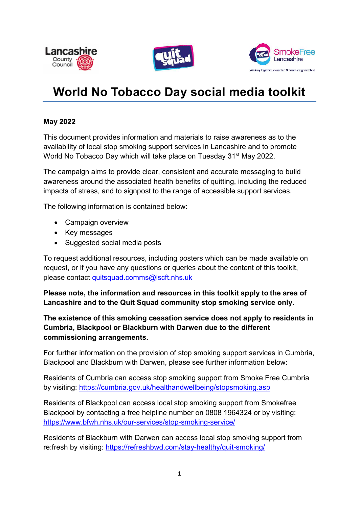





# World No Tobacco Day social media toolkit

#### May 2022

This document provides information and materials to raise awareness as to the availability of local stop smoking support services in Lancashire and to promote World No Tobacco Day which will take place on Tuesday 31<sup>st</sup> May 2022.

The campaign aims to provide clear, consistent and accurate messaging to build awareness around the associated health benefits of quitting, including the reduced impacts of stress, and to signpost to the range of accessible support services.

The following information is contained below:

- Campaign overview
- Key messages
- Suggested social media posts

To request additional resources, including posters which can be made available on request, or if you have any questions or queries about the content of this toolkit, please contact quitsquad.comms@lscft.nhs.uk

Please note, the information and resources in this toolkit apply to the area of Lancashire and to the Quit Squad community stop smoking service only.

The existence of this smoking cessation service does not apply to residents in Cumbria, Blackpool or Blackburn with Darwen due to the different commissioning arrangements.

For further information on the provision of stop smoking support services in Cumbria, Blackpool and Blackburn with Darwen, please see further information below:

Residents of Cumbria can access stop smoking support from Smoke Free Cumbria by visiting: https://cumbria.gov.uk/healthandwellbeing/stopsmoking.asp

Residents of Blackpool can access local stop smoking support from Smokefree Blackpool by contacting a free helpline number on 0808 1964324 or by visiting: https://www.bfwh.nhs.uk/our-services/stop-smoking-service/

Residents of Blackburn with Darwen can access local stop smoking support from re:fresh by visiting: https://refreshbwd.com/stay-healthy/quit-smoking/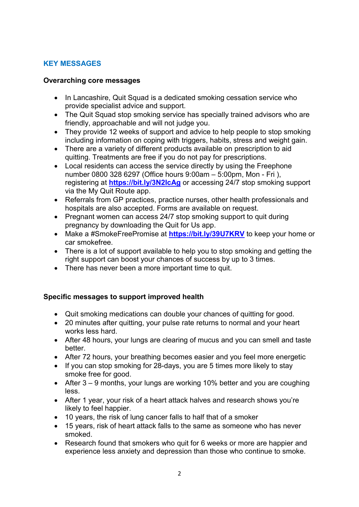## KEY MESSAGES

#### Overarching core messages

- In Lancashire, Quit Squad is a dedicated smoking cessation service who provide specialist advice and support.
- The Quit Squad stop smoking service has specially trained advisors who are friendly, approachable and will not judge you.
- They provide 12 weeks of support and advice to help people to stop smoking including information on coping with triggers, habits, stress and weight gain.
- There are a variety of different products available on prescription to aid quitting. Treatments are free if you do not pay for prescriptions.
- Local residents can access the service directly by using the Freephone number 0800 328 6297 (Office hours 9:00am – 5:00pm, Mon - Fri ), registering at https://bit.ly/3N2IcAg or accessing 24/7 stop smoking support via the My Quit Route app.
- Referrals from GP practices, practice nurses, other health professionals and hospitals are also accepted. Forms are available on request.
- Pregnant women can access 24/7 stop smoking support to quit during pregnancy by downloading the Quit for Us app.
- Make a #SmokeFreePromise at https://bit.ly/39U7KRV to keep your home or car smokefree.
- There is a lot of support available to help you to stop smoking and getting the right support can boost your chances of success by up to 3 times.
- There has never been a more important time to quit.

## Specific messages to support improved health

- Quit smoking medications can double your chances of quitting for good.
- 20 minutes after quitting, your pulse rate returns to normal and your heart works less hard.
- After 48 hours, your lungs are clearing of mucus and you can smell and taste better.
- After 72 hours, your breathing becomes easier and you feel more energetic
- If you can stop smoking for 28-days, you are 5 times more likely to stay smoke free for good.
- After 3 9 months, your lungs are working 10% better and you are coughing less.
- After 1 year, your risk of a heart attack halves and research shows you're likely to feel happier.
- 10 years, the risk of lung cancer falls to half that of a smoker
- 15 years, risk of heart attack falls to the same as someone who has never smoked.
- Research found that smokers who quit for 6 weeks or more are happier and experience less anxiety and depression than those who continue to smoke.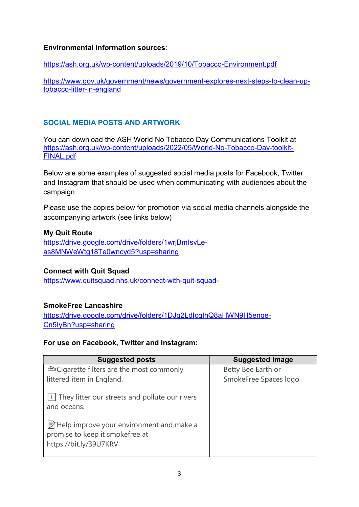## Environmental information sources:

https://ash.org.uk/wp-content/uploads/2019/10/Tobacco-Environment.pdf

https://www.gov.uk/government/news/government-explores-next-steps-to-clean-uptobacco-litter-in-england

# SOCIAL MEDIA POSTS AND ARTWORK

You can download the ASH World No Tobacco Day Communications Toolkit at https://ash.org.uk/wp-content/uploads/2022/05/World-No-Tobacco-Day-toolkit-FINAL.pdf

Below are some examples of suggested social media posts for Facebook, Twitter and Instagram that should be used when communicating with audiences about the campaign.

Please use the copies below for promotion via social media channels alongside the accompanying artwork (see links below)

## My Quit Route

https://drive.google.com/drive/folders/1wrjBmIsvLeas8MNWeWtg18Te0wncyd5?usp=sharing

## Connect with Quit Squad

https://www.quitsquad.nhs.uk/connect-with-quit-squad-

## SmokeFree Lancashire

https://drive.google.com/drive/folders/1DJg2LdIcqIhQ8aHWN9H5enge-Cn5IyBn?usp=sharing

## For use on Facebook, Twitter and Instagram:

| <b>Suggested posts</b>                                                                                  | <b>Suggested image</b> |
|---------------------------------------------------------------------------------------------------------|------------------------|
| <b>△</b> Cigarette filters are the most commonly                                                        | Betty Bee Earth or     |
| littered item in England.                                                                               | SmokeFree Spaces logo  |
| $\vert \cdot \vert$ They litter our streets and pollute our rivers<br>and oceans.                       |                        |
| ■ Help improve your environment and make a<br>promise to keep it smokefree at<br>https://bit.ly/39U7KRV |                        |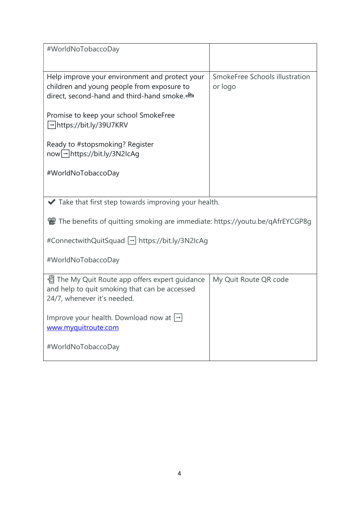| #WorldNoTobaccoDay                                                                                                                                                                                                                                                                            |                                           |  |
|-----------------------------------------------------------------------------------------------------------------------------------------------------------------------------------------------------------------------------------------------------------------------------------------------|-------------------------------------------|--|
| Help improve your environment and protect your<br>children and young people from exposure to<br>direct, second-hand and third-hand smoke.<br>Promise to keep your school SmokeFree<br> → https://bit.ly/39U7KRV<br>Ready to #stopsmoking? Register<br>now <sup>1</sup> https://bit.ly/3N2IcAg | SmokeFree Schools illustration<br>or logo |  |
| #WorldNoTobaccoDay                                                                                                                                                                                                                                                                            |                                           |  |
| $\blacktriangleright$ Take that first step towards improving your health.                                                                                                                                                                                                                     |                                           |  |
| The benefits of quitting smoking are immediate: https://youtu.be/qAfrEYCGP8g                                                                                                                                                                                                                  |                                           |  |
| #ConnectwithQuitSquad  - https://bit.ly/3N2IcAg                                                                                                                                                                                                                                               |                                           |  |
| #WorldNoTobaccoDay                                                                                                                                                                                                                                                                            |                                           |  |
| 쏍 The My Quit Route app offers expert guidance<br>and help to quit smoking that can be accessed<br>24/7, whenever it's needed.                                                                                                                                                                | My Quit Route QR code                     |  |
| Improve your health. Download now at $\Box$<br>www.myquitroute.com                                                                                                                                                                                                                            |                                           |  |
| #WorldNoTobaccoDay                                                                                                                                                                                                                                                                            |                                           |  |